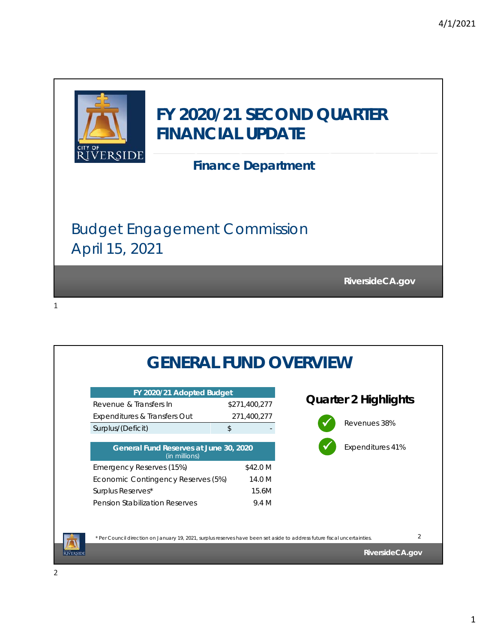

| FY 2020/21 Adopted Budget                               |               |                             |
|---------------------------------------------------------|---------------|-----------------------------|
| Revenue & Transfers In                                  | \$271,400,277 | <b>Quarter 2 Highlights</b> |
| Expenditures & Transfers Out                            | 271,400,277   |                             |
| Surplus/(Deficit)                                       | \$            | Revenues 38%                |
| General Fund Reserves at June 30, 2020<br>(in millions) |               | Expenditures 41%            |
| Emergency Reserves (15%)                                | \$42.0 M      |                             |
| Economic Contingency Reserves (5%)                      | 14.0 M        |                             |
|                                                         |               |                             |
| Surplus Reserves*                                       | 15.6M         |                             |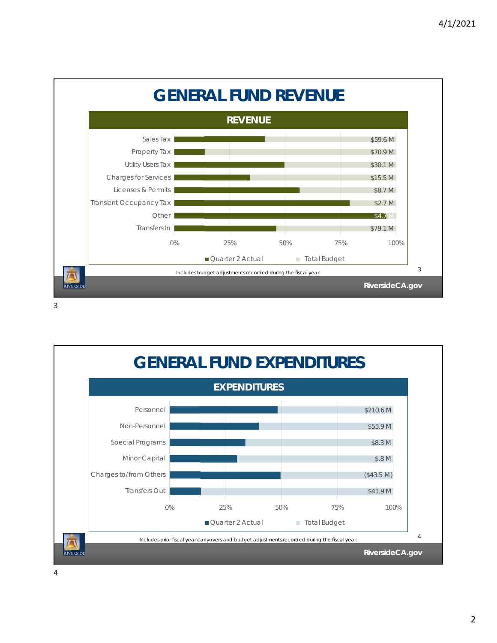



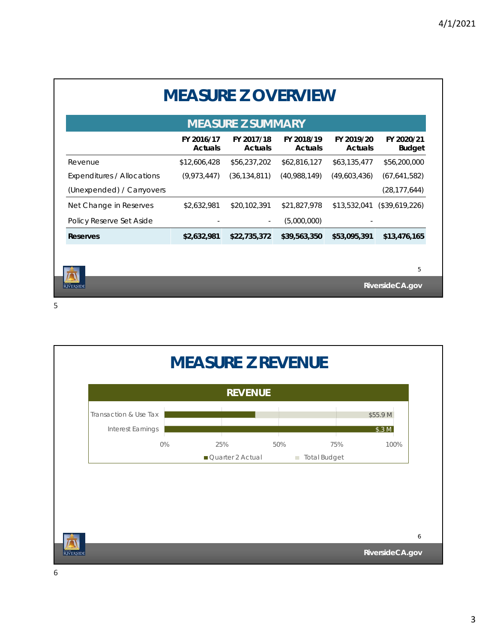| <b>MEASURE Z SUMMARY</b>   |                              |                              |                              |                              |                             |  |  |
|----------------------------|------------------------------|------------------------------|------------------------------|------------------------------|-----------------------------|--|--|
|                            | FY 2016/17<br><b>Actuals</b> | FY 2017/18<br><b>Actuals</b> | FY 2018/19<br><b>Actuals</b> | FY 2019/20<br><b>Actuals</b> | FY 2020/21<br><b>Budget</b> |  |  |
| Revenue                    | \$12,606,428                 | \$56,237,202                 | \$62,816,127                 | \$63,135,477                 | \$56,200,000                |  |  |
| Expenditures / Allocations | (9,973,447)                  | (36, 134, 811)               | (40,988,149)                 | (49,603,436)                 | (67, 641, 582)              |  |  |
| (Unexpended) / Carryovers  |                              |                              |                              |                              | (28, 177, 644)              |  |  |
| Net Change in Reserves     | \$2,632,981                  | \$20,102,391                 | \$21,827,978                 | \$13,532,041                 | (\$39,619,226)              |  |  |
| Policy Reserve Set Aside   |                              |                              | (5,000,000)                  |                              |                             |  |  |
| <b>Reserves</b>            | \$2,632,981                  | \$22,735,372                 | \$39,563,350                 | \$53,095,391                 | \$13,476,165                |  |  |
|                            |                              |                              |                              |                              |                             |  |  |
|                            |                              |                              |                              |                              | 5                           |  |  |

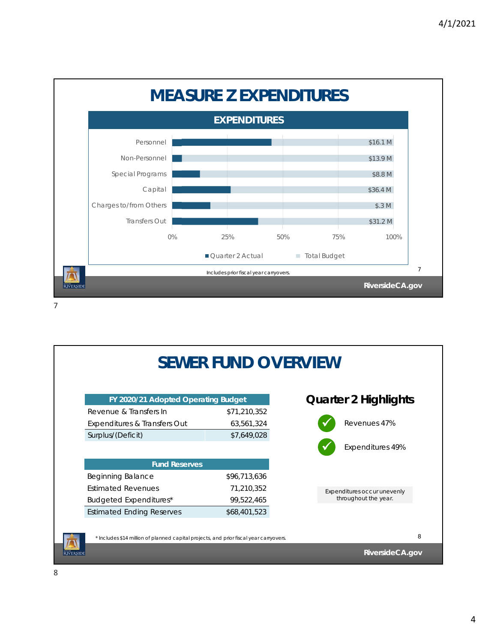

|                                                                                        | <b>SEWER FUND OVERVIEW</b> |                             |
|----------------------------------------------------------------------------------------|----------------------------|-----------------------------|
| FY 2020/21 Adopted Operating Budget                                                    |                            | <b>Quarter 2 Highlights</b> |
| Revenue & Transfers In                                                                 | \$71,210,352               |                             |
| Expenditures & Transfers Out                                                           | 63,561,324                 | Revenues 47%                |
| Surplus/(Deficit)                                                                      | \$7,649,028                |                             |
|                                                                                        |                            | Expenditures 49%            |
| <b>Fund Reserves</b>                                                                   |                            |                             |
| <b>Beginning Balance</b>                                                               | \$96,713,636               |                             |
| <b>Estimated Revenues</b>                                                              | 71,210,352                 | Expenditures occur unevenly |
| Budgeted Expenditures*                                                                 | 99,522,465                 | throughout the year.        |
| <b>Estimated Ending Reserves</b>                                                       | \$68,401,523               |                             |
| * Includes \$14 million of planned capital projects, and prior fiscal year carryovers. |                            |                             |
|                                                                                        |                            | RiversideCA.gov             |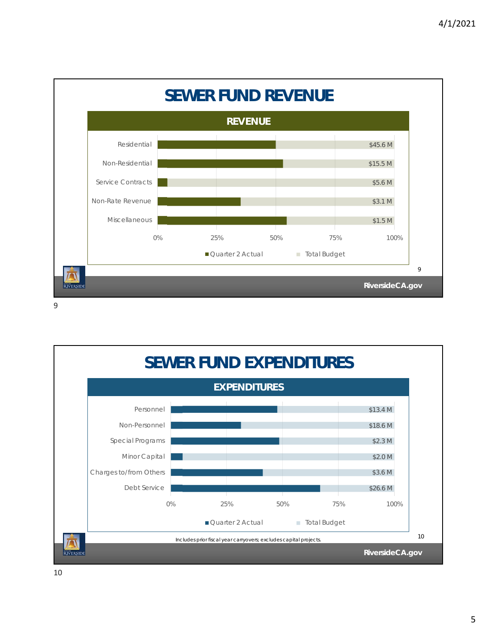

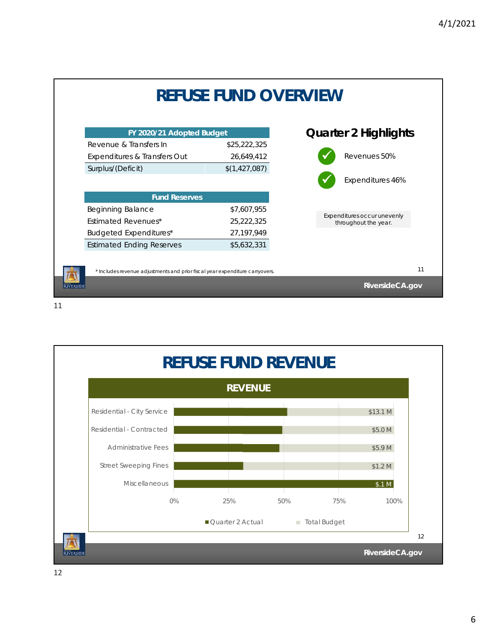

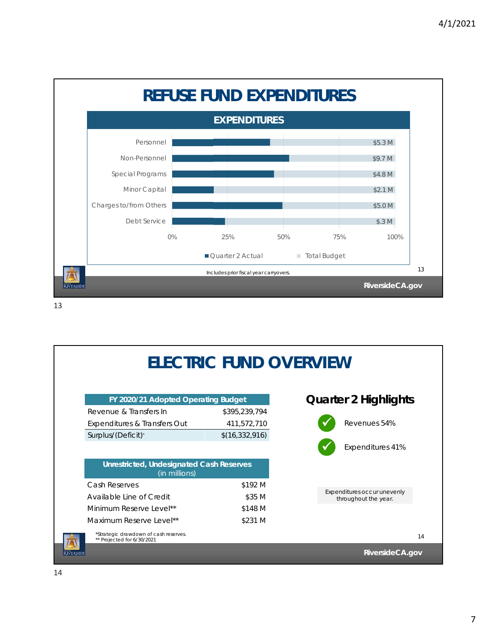

|                            |                                                                  |                  | <b>ELECTRIC FUND OVERVIEW</b>                       |    |
|----------------------------|------------------------------------------------------------------|------------------|-----------------------------------------------------|----|
|                            | FY 2020/21 Adopted Operating Budget                              |                  | <b>Quarter 2 Highlights</b>                         |    |
| Revenue & Transfers In     |                                                                  | \$395,239,794    |                                                     |    |
|                            | Expenditures & Transfers Out                                     | 411,572,710      | Revenues 54%                                        |    |
| Surplus/(Deficit)*         |                                                                  | \$(16, 332, 916) |                                                     |    |
|                            |                                                                  |                  | Expenditures 41%                                    |    |
|                            | <b>Unrestricted, Undesignated Cash Reserves</b><br>(in millions) |                  |                                                     |    |
| Cash Reserves              |                                                                  | \$192 M          |                                                     |    |
| Available Line of Credit   |                                                                  | \$35 M           | Expenditures occur unevenly<br>throughout the year. |    |
| Minimum Reserve Level**    |                                                                  | \$148 M          |                                                     |    |
| Maximum Reserve Level**    |                                                                  | \$231 M          |                                                     |    |
| ** Projected for 6/30/2021 | *Strategic drawdown of cash reserves.                            |                  |                                                     | 14 |
|                            |                                                                  |                  | RiversideCA.gov                                     |    |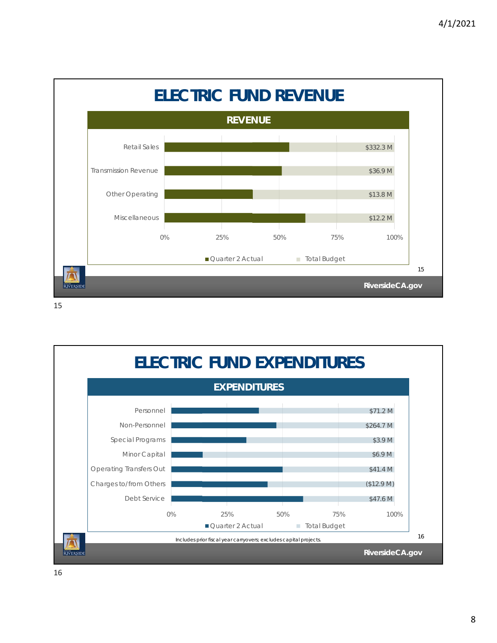

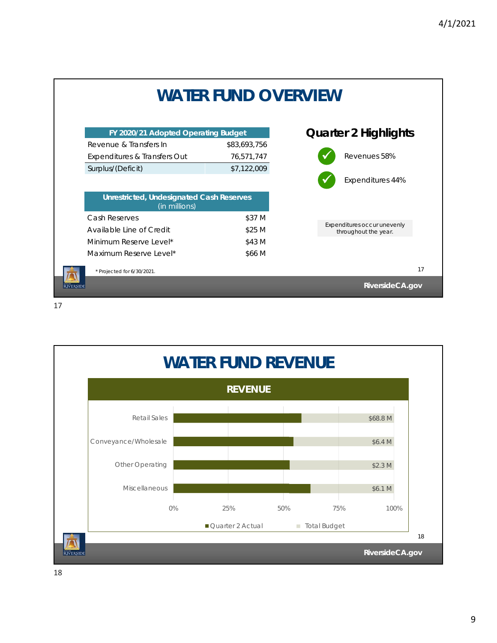

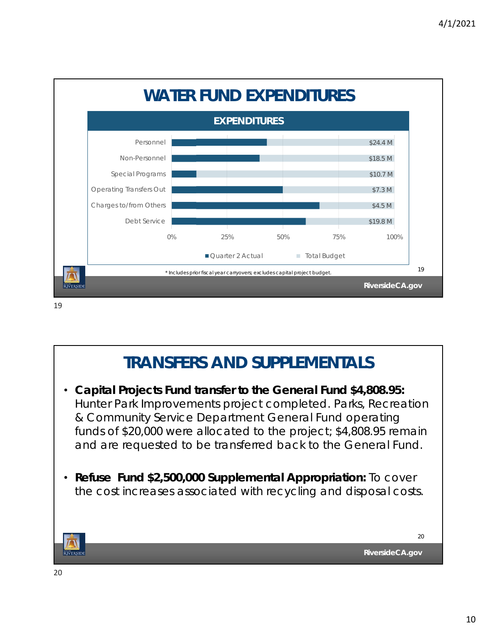